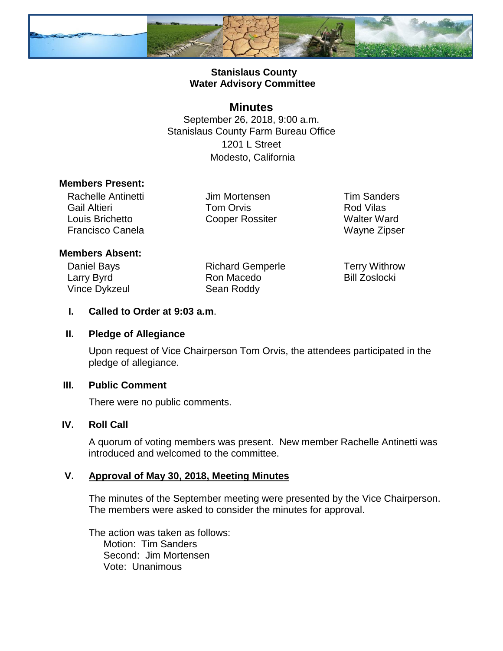

# **Stanislaus County Water Advisory Committee**

# **Minutes**

September 26, 2018, 9:00 a.m. Stanislaus County Farm Bureau Office 1201 L Street Modesto, California

#### **Members Present:**

Rachelle Antinetti Gail Altieri Louis Brichetto Francisco Canela

Jim Mortensen Tom Orvis Cooper Rossiter Tim Sanders Rod Vilas Walter Ward Wayne Zipser

## **Members Absent:**

Daniel Bays Larry Byrd Vince Dykzeul

Richard Gemperle Ron Macedo Sean Roddy

Terry Withrow Bill Zoslocki

## **I. Called to Order at 9:03 a.m**.

## **II. Pledge of Allegiance**

Upon request of Vice Chairperson Tom Orvis, the attendees participated in the pledge of allegiance.

## **III. Public Comment**

There were no public comments.

## **IV. Roll Call**

A quorum of voting members was present. New member Rachelle Antinetti was introduced and welcomed to the committee.

## **V. Approval of May 30, 2018, Meeting Minutes**

The minutes of the September meeting were presented by the Vice Chairperson. The members were asked to consider the minutes for approval.

The action was taken as follows: Motion: Tim Sanders Second: Jim Mortensen Vote: Unanimous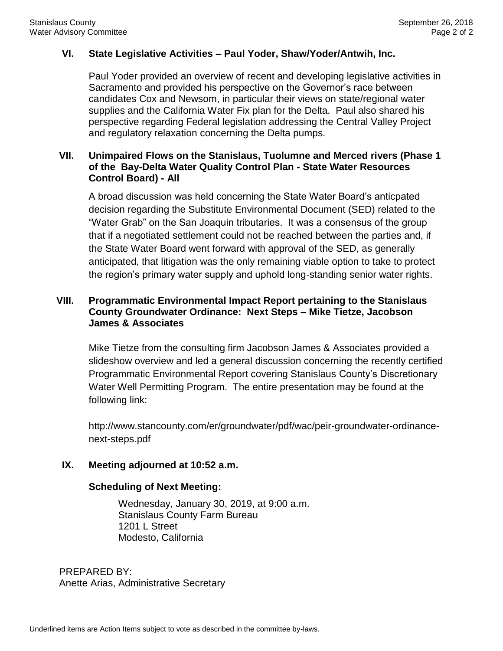#### **VI. State Legislative Activities – Paul Yoder, Shaw/Yoder/Antwih, Inc.**

Paul Yoder provided an overview of recent and developing legislative activities in Sacramento and provided his perspective on the Governor's race between candidates Cox and Newsom, in particular their views on state/regional water supplies and the California Water Fix plan for the Delta. Paul also shared his perspective regarding Federal legislation addressing the Central Valley Project and regulatory relaxation concerning the Delta pumps.

# **VII. Unimpaired Flows on the Stanislaus, Tuolumne and Merced rivers (Phase 1 of the Bay-Delta Water Quality Control Plan - State Water Resources Control Board) - All**

A broad discussion was held concerning the State Water Board's anticpated decision regarding the Substitute Environmental Document (SED) related to the "Water Grab" on the San Joaquin tributaries. It was a consensus of the group that if a negotiated settlement could not be reached between the parties and, if the State Water Board went forward with approval of the SED, as generally anticipated, that litigation was the only remaining viable option to take to protect the region's primary water supply and uphold long-standing senior water rights.

# **VIII. Programmatic Environmental Impact Report pertaining to the Stanislaus County Groundwater Ordinance: Next Steps – Mike Tietze, Jacobson James & Associates**

Mike Tietze from the consulting firm Jacobson James & Associates provided a slideshow overview and led a general discussion concerning the recently certified Programmatic Environmental Report covering Stanislaus County's Discretionary Water Well Permitting Program. The entire presentation may be found at the following link:

http://www.stancounty.com/er/groundwater/pdf/wac/peir-groundwater-ordinancenext-steps.pdf

## **IX. Meeting adjourned at 10:52 a.m.**

#### **Scheduling of Next Meeting:**

Wednesday, January 30, 2019, at 9:00 a.m. Stanislaus County Farm Bureau 1201 L Street Modesto, California

PREPARED BY: Anette Arias, Administrative Secretary